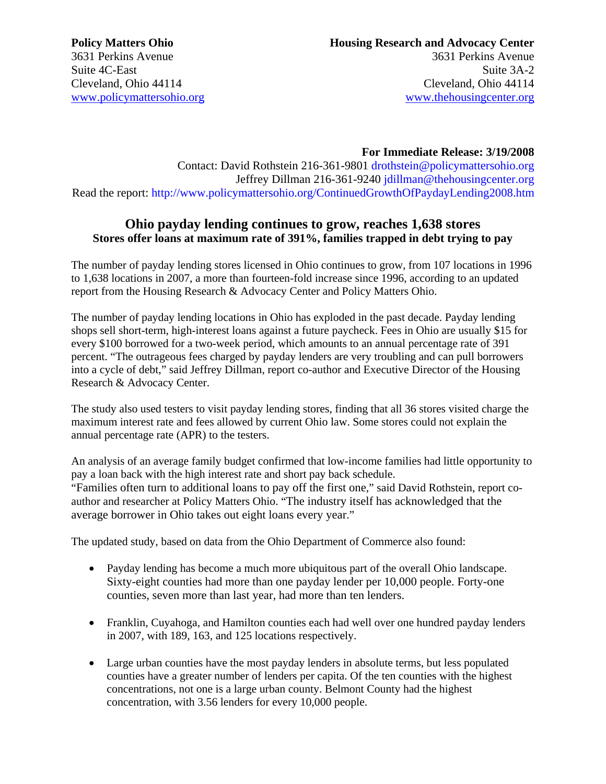## **For Immediate Release: 3/19/2008**

Contact: David Rothstein 216-361-9801 drothstein@policymattersohio.org Jeffrey Dillman 216-361-9240 jdillman@thehousingcenter.org Read the report: http://www.policymattersohio.org/ContinuedGrowthOfPaydayLending2008.htm

## **Ohio payday lending continues to grow, reaches 1,638 stores Stores offer loans at maximum rate of 391%, families trapped in debt trying to pay**

The number of payday lending stores licensed in Ohio continues to grow, from 107 locations in 1996 to 1,638 locations in 2007, a more than fourteen-fold increase since 1996, according to an updated report from the Housing Research & Advocacy Center and Policy Matters Ohio.

The number of payday lending locations in Ohio has exploded in the past decade. Payday lending shops sell short-term, high-interest loans against a future paycheck. Fees in Ohio are usually \$15 for every \$100 borrowed for a two-week period, which amounts to an annual percentage rate of 391 percent. "The outrageous fees charged by payday lenders are very troubling and can pull borrowers into a cycle of debt," said Jeffrey Dillman, report co-author and Executive Director of the Housing Research & Advocacy Center.

The study also used testers to visit payday lending stores, finding that all 36 stores visited charge the maximum interest rate and fees allowed by current Ohio law. Some stores could not explain the annual percentage rate (APR) to the testers.

An analysis of an average family budget confirmed that low-income families had little opportunity to pay a loan back with the high interest rate and short pay back schedule. "Families often turn to additional loans to pay off the first one," said David Rothstein, report coauthor and researcher at Policy Matters Ohio. "The industry itself has acknowledged that the average borrower in Ohio takes out eight loans every year."

The updated study, based on data from the Ohio Department of Commerce also found:

- Payday lending has become a much more ubiquitous part of the overall Ohio landscape. Sixty-eight counties had more than one payday lender per 10,000 people. Forty-one counties, seven more than last year, had more than ten lenders.
- Franklin, Cuyahoga, and Hamilton counties each had well over one hundred payday lenders in 2007, with 189, 163, and 125 locations respectively.
- Large urban counties have the most payday lenders in absolute terms, but less populated counties have a greater number of lenders per capita. Of the ten counties with the highest concentrations, not one is a large urban county. Belmont County had the highest concentration, with 3.56 lenders for every 10,000 people.